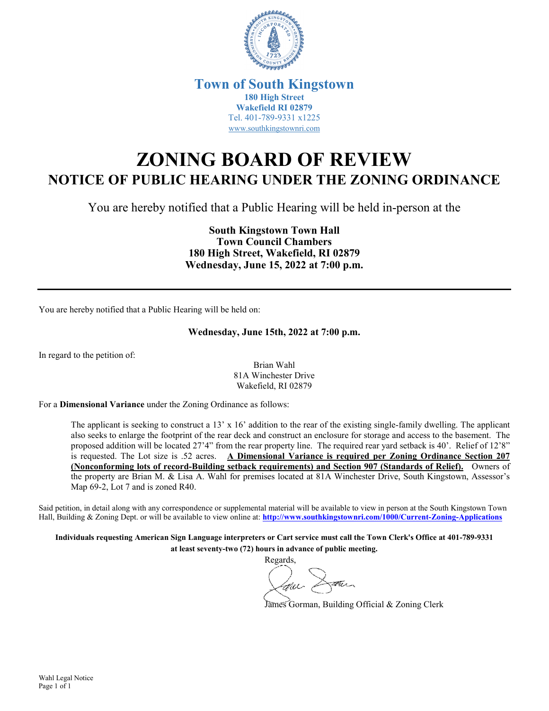

## **Town of South Kingstown 180 High Street Wakefield RI 02879** Tel. 401-789-9331 x1225 [www.southkingstownri.com](http://www.southkingstownri.com/)

## **ZONING BOARD OF REVIEW NOTICE OF PUBLIC HEARING UNDER THE ZONING ORDINANCE**

You are hereby notified that a Public Hearing will be held in-person at the

**South Kingstown Town Hall Town Council Chambers 180 High Street, Wakefield, RI 02879 Wednesday, June 15, 2022 at 7:00 p.m.** 

You are hereby notified that a Public Hearing will be held on:

## **Wednesday, June 15th, 2022 at 7:00 p.m.**

In regard to the petition of:

Brian Wahl 81A Winchester Drive Wakefield, RI 02879

For a **Dimensional Variance** under the Zoning Ordinance as follows:

The applicant is seeking to construct a 13' x 16' addition to the rear of the existing single-family dwelling. The applicant also seeks to enlarge the footprint of the rear deck and construct an enclosure for storage and access to the basement. The proposed addition will be located 27'4" from the rear property line. The required rear yard setback is 40'. Relief of 12'8" is requested. The Lot size is .52 acres. **A Dimensional Variance is required per Zoning Ordinance Section 207 (Nonconforming lots of record-Building setback requirements) and Section 907 (Standards of Relief).** Owners of the property are Brian M. & Lisa A. Wahl for premises located at 81A Winchester Drive, South Kingstown, Assessor's Map 69-2, Lot 7 and is zoned R40.

Said petition, in detail along with any correspondence or supplemental material will be available to view in person at the South Kingstown Town Hall, Building & Zoning Dept. or will be available to view online at: **<http://www.southkingstownri.com/1000/Current-Zoning-Applications>**

**Individuals requesting American Sign Language interpreters or Cart service must call the Town Clerk's Office at 401-789-9331 at least seventy-two (72) hours in advance of public meeting.** 

Regards,

James Gorman, Building Official & Zoning Clerk